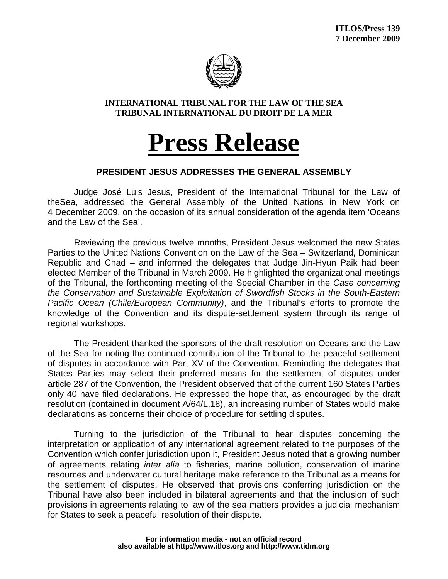

## **INTERNATIONAL TRIBUNAL FOR THE LAW OF THE SEA TRIBUNAL INTERNATIONAL DU DROIT DE LA MER**

## **Press Release**

## **PRESIDENT JESUS ADDRESSES THE GENERAL ASSEMBLY**

Judge José Luis Jesus, President of the International Tribunal for the Law of theSea, addressed the General Assembly of the United Nations in New York on 4 December 2009, on the occasion of its annual consideration of the agenda item 'Oceans and the Law of the Sea'.

Reviewing the previous twelve months, President Jesus welcomed the new States Parties to the United Nations Convention on the Law of the Sea – Switzerland, Dominican Republic and Chad – and informed the delegates that Judge Jin-Hyun Paik had been elected Member of the Tribunal in March 2009. He highlighted the organizational meetings of the Tribunal, the forthcoming meeting of the Special Chamber in the *Case concerning the Conservation and Sustainable Exploitation of Swordfish Stocks in the South-Eastern Pacific Ocean (Chile/European Community)*, and the Tribunal's efforts to promote the knowledge of the Convention and its dispute-settlement system through its range of regional workshops.

The President thanked the sponsors of the draft resolution on Oceans and the Law of the Sea for noting the continued contribution of the Tribunal to the peaceful settlement of disputes in accordance with Part XV of the Convention. Reminding the delegates that States Parties may select their preferred means for the settlement of disputes under article 287 of the Convention, the President observed that of the current 160 States Parties only 40 have filed declarations. He expressed the hope that, as encouraged by the draft resolution (contained in document A/64/L.18), an increasing number of States would make declarations as concerns their choice of procedure for settling disputes.

Turning to the jurisdiction of the Tribunal to hear disputes concerning the interpretation or application of any international agreement related to the purposes of the Convention which confer jurisdiction upon it, President Jesus noted that a growing number of agreements relating *inter alia* to fisheries, marine pollution, conservation of marine resources and underwater cultural heritage make reference to the Tribunal as a means for the settlement of disputes. He observed that provisions conferring jurisdiction on the Tribunal have also been included in bilateral agreements and that the inclusion of such provisions in agreements relating to law of the sea matters provides a judicial mechanism for States to seek a peaceful resolution of their dispute.